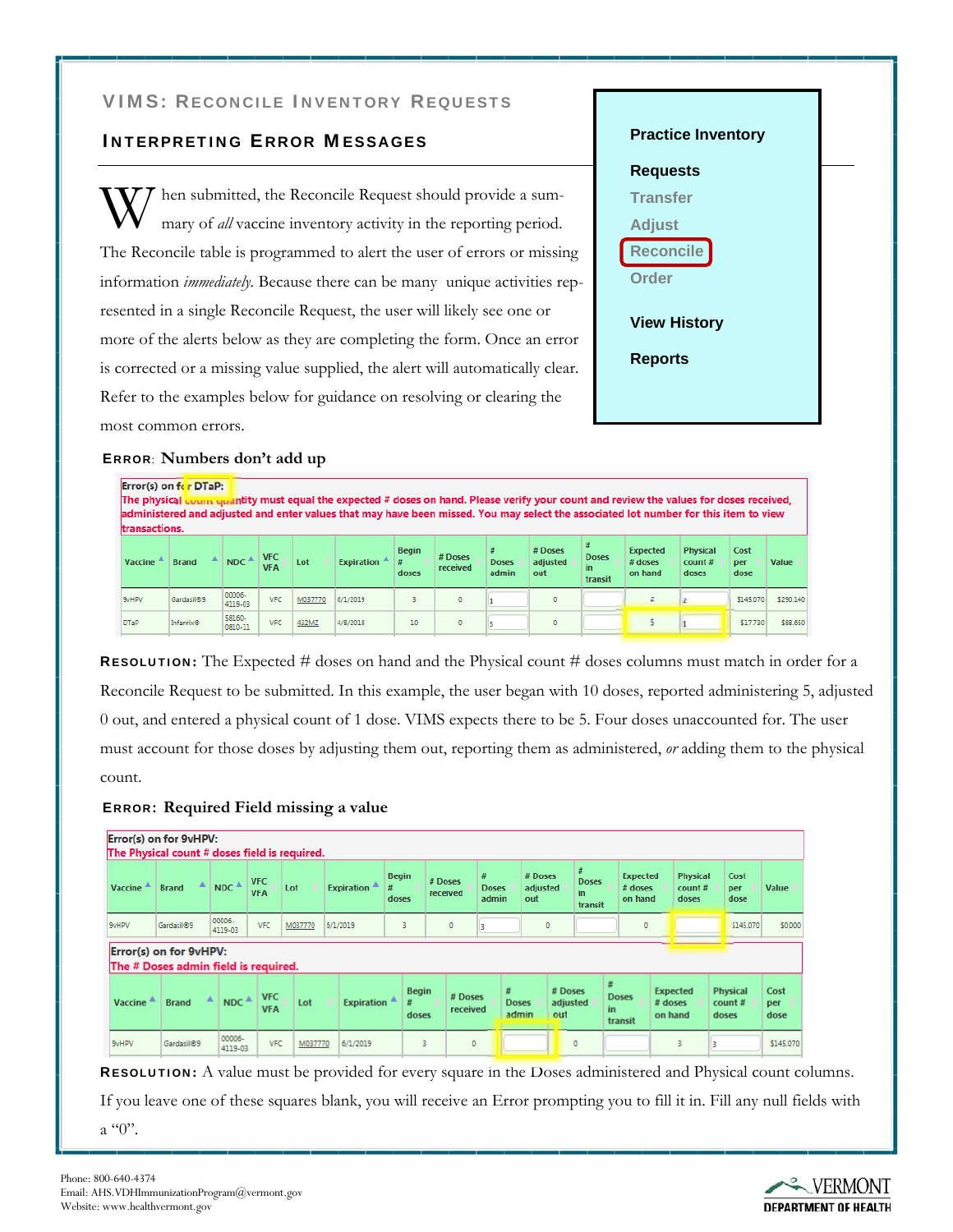## VIMS: RECONCILE INVENTORY REQUESTS

## INTERPRETING ERROR MESSAGES

hen submitted, the Reconcile Request should provide a summary of *all* vaccine inventory activity in the reporting period. The Reconcile table is programmed to alert the user of errors or missing information *immediately.* Because there can be many unique activities represented in a single Reconcile Request, the user will likely see one or more of the alerts below as they are completing the form. Once an error is corrected or a missing value supplied, the alert will automatically clear. Refer to the examples below for guidance on resolving or clearing the most common errors.



#### ERROR: **Numbers don't add up**

| Error(s) on fcr DTaP:<br>The physical count quantity must equal the expected # doses on hand. Please verify your count and review the values for doses received,<br>administered and adjusted and enter values that may have been missed. You may select the associated lot number for this item to view<br>transactions. |                        |                                         |                          |         |                   |                       |                     |                       |                            |                                |                                       |                                    |                     |           |
|---------------------------------------------------------------------------------------------------------------------------------------------------------------------------------------------------------------------------------------------------------------------------------------------------------------------------|------------------------|-----------------------------------------|--------------------------|---------|-------------------|-----------------------|---------------------|-----------------------|----------------------------|--------------------------------|---------------------------------------|------------------------------------|---------------------|-----------|
| Vaccine                                                                                                                                                                                                                                                                                                                   | <b>Brand</b>           | $NDC$ <sup><math>\triangle</math></sup> | <b>VFC</b><br><b>VFA</b> | Lot     | <b>Expiration</b> | <b>Begin</b><br>doses | # Doses<br>received | <b>Doses</b><br>admin | # Doses<br>adjusted<br>out | <b>Doses</b><br>in.<br>transit | <b>Expected</b><br># doses<br>on hand | <b>Physical</b><br>count#<br>doses | Cost<br>per<br>dose | Value     |
| 9vHPV                                                                                                                                                                                                                                                                                                                     | Gardasil <sup>®9</sup> | 00006-<br>4119-03                       | <b>VFC</b>               | M037770 | 6/1/2019          | ٩                     | $\theta$            |                       | $\circ$                    |                                |                                       |                                    | \$145,070           | \$290.140 |
| <b>DTaP</b>                                                                                                                                                                                                                                                                                                               | Infanrix®              | 58160-<br>0810-11                       | <b>VFC</b>               | 432MZ   | 4/8/2018          | 10                    | $\mathbf{0}$        |                       | $\circ$                    |                                |                                       |                                    | \$17,730            | \$88,650  |

RESOLUTION**:** The Expected # doses on hand and the Physical count # doses columns must match in order for a Reconcile Request to be submitted. In this example, the user began with 10 doses, reported administering 5, adjusted 0 out, and entered a physical count of 1 dose. VIMS expects there to be 5. Four doses unaccounted for. The user must account for those doses by adjusting them out, reporting them as administered, *or* adding them to the physical count.

#### ERROR: **Required Field missing a value**

|                | Error(s) on for 9vHPV:<br>The Physical count # doses field is required. |                                         |                          |         |                   |                            |                       |                     |                            |                            |                            |                                    |                                       |         |                                    |                 |                     |                     |
|----------------|-------------------------------------------------------------------------|-----------------------------------------|--------------------------|---------|-------------------|----------------------------|-----------------------|---------------------|----------------------------|----------------------------|----------------------------|------------------------------------|---------------------------------------|---------|------------------------------------|-----------------|---------------------|---------------------|
| <b>Vaccine</b> | ▲<br><b>Brand</b>                                                       | $NDC$ <sup><math>\triangle</math></sup> | <b>VFC</b><br><b>VFA</b> | Lot     | <b>Expiration</b> | <b>Begin</b><br>#<br>doses |                       | # Doses<br>received | #<br><b>Doses</b><br>admin | # Doses<br>adjusted<br>out |                            | #<br><b>Doses</b><br>in<br>transit | <b>Expected</b><br># doses<br>on hand |         | <b>Physical</b><br>count#<br>doses |                 | Cost<br>per<br>dose | Value               |
| 9vHPV          | Gardasil <sup>®9</sup>                                                  | 00006-<br>4119-03                       | <b>VFC</b>               | M037770 | 6/1/2019          | 3                          |                       | $\mathbf{0}$        |                            | $\circ$                    |                            |                                    | $\circ$                               |         |                                    |                 | \$145.070           | \$0.000             |
|                | Error(s) on for 9vHPV:<br>The # Doses admin field is required.          |                                         |                          |         |                   |                            |                       |                     |                            |                            |                            |                                    |                                       |         |                                    |                 |                     |                     |
| <b>Vaccine</b> | ▲<br><b>Brand</b>                                                       | $NDC^A$                                 | <b>VFC</b><br><b>VFA</b> | Lot     | <b>Expiration</b> | #                          | <b>Begin</b><br>doses | # Doses<br>received | #                          | <b>Doses</b><br>admin      | # Doses<br>adjusted<br>out | Ħ<br>in.                           | <b>Doses</b><br>transit               | # doses | <b>Expected</b><br>on hand         | count#<br>doses | <b>Physical</b>     | Cost<br>per<br>dose |
| 9vHPV          | Gardasil <sup>®9</sup>                                                  | 00006-<br>4119-03                       | <b>VFC</b>               | M037770 | 6/1/2019          |                            | 3                     | $\circ$             |                            |                            |                            | $\mathbf 0$                        |                                       |         | з                                  |                 |                     | \$145,070           |

RESOLUTION**:** A value must be provided for every square in the Doses administered and Physical count columns.

If you leave one of these squares blank, you will receive an Error prompting you to fill it in. Fill any null fields with  $a$  "0".